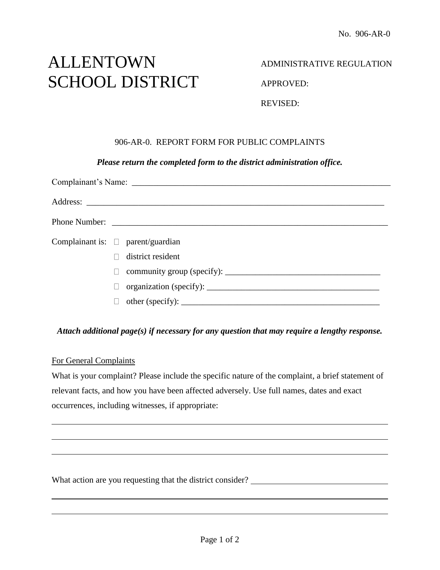# ALLENTOWN SCHOOL DISTRICT

## ADMINISTRATIVE REGULATION

APPROVED:

REVISED:

## 906-AR-0. REPORT FORM FOR PUBLIC COMPLAINTS

#### *Please return the completed form to the district administration office.*

|  | Complainant is: $\square$ parent/guardian                                                     |  |
|--|-----------------------------------------------------------------------------------------------|--|
|  | district resident                                                                             |  |
|  | $\Box$                                                                                        |  |
|  | П                                                                                             |  |
|  | other (specify): $\sqrt{\frac{2}{1-\frac{1}{2}} \left(\frac{1}{2}-\frac{1}{2}\right)^2}$<br>П |  |

#### *Attach additional page(s) if necessary for any question that may require a lengthy response.*

#### For General Complaints

What is your complaint? Please include the specific nature of the complaint, a brief statement of relevant facts, and how you have been affected adversely. Use full names, dates and exact occurrences, including witnesses, if appropriate:

What action are you requesting that the district consider? \_\_\_\_\_\_\_\_\_\_\_\_\_\_\_\_\_\_\_\_\_\_